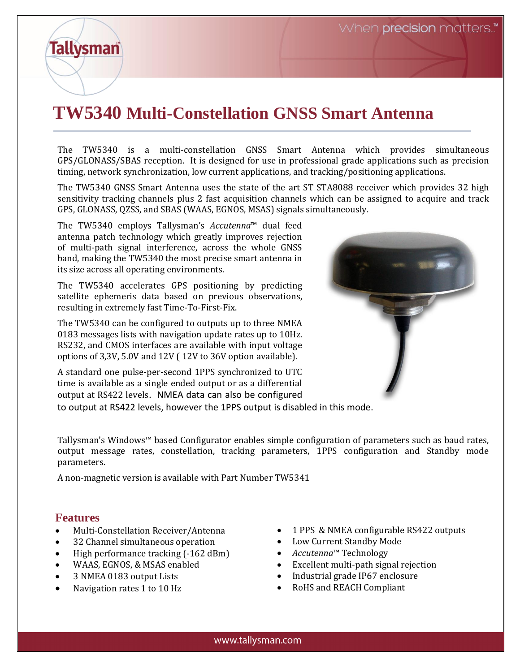## **TW5340 Multi-Constellation GNSS Smart Antenna**

The TW5340 is a multi-constellation GNSS Smart Antenna which provides simultaneous GPS/GLONASS/SBAS reception. It is designed for use in professional grade applications such as precision timing, network synchronization, low current applications, and tracking/positioning applications.

The TW5340 GNSS Smart Antenna uses the state of the art ST STA8088 receiver which provides 32 high sensitivity tracking channels plus 2 fast acquisition channels which can be assigned to acquire and track GPS, GLONASS, QZSS, and SBAS (WAAS, EGNOS, MSAS) signals simultaneously.

The TW5340 employs Tallysman's *Accutenna*™ dual feed antenna patch technology which greatly improves rejection of multi-path signal interference, across the whole GNSS band, making the TW5340 the most precise smart antenna in its size across all operating environments.

The TW5340 accelerates GPS positioning by predicting satellite ephemeris data based on previous observations, resulting in extremely fast Time-To-First-Fix.

The TW5340 can be configured to outputs up to three NMEA 0183 messages lists with navigation update rates up to 10Hz. RS232, and CMOS interfaces are available with input voltage options of 3,3V, 5.0V and 12V ( 12V to 36V option available).

A standard one pulse-per-second 1PPS synchronized to UTC time is available as a single ended output or as a differential output at RS422 levels. NMEA data can also be configured

to output at RS422 levels, however the 1PPS output is disabled in this mode.

Tallysman's Windows™ based Configurator enables simple configuration of parameters such as baud rates, output message rates, constellation, tracking parameters, 1PPS configuration and Standby mode parameters.

A non-magnetic version is available with Part Number TW5341

## **Features**

**Tallysman** 

- Multi-Constellation Receiver/Antenna
- 32 Channel simultaneous operation
- High performance tracking (-162 dBm)
- WAAS, EGNOS, & MSAS enabled
- 3 NMEA 0183 output Lists
- Navigation rates 1 to 10 Hz
- 1 PPS & NMEA configurable RS422 outputs
- Low Current Standby Mode
- *Accutenna*™ Technology
- Excellent multi-path signal rejection
- Industrial grade IP67 enclosure
- RoHS and REACH Compliant